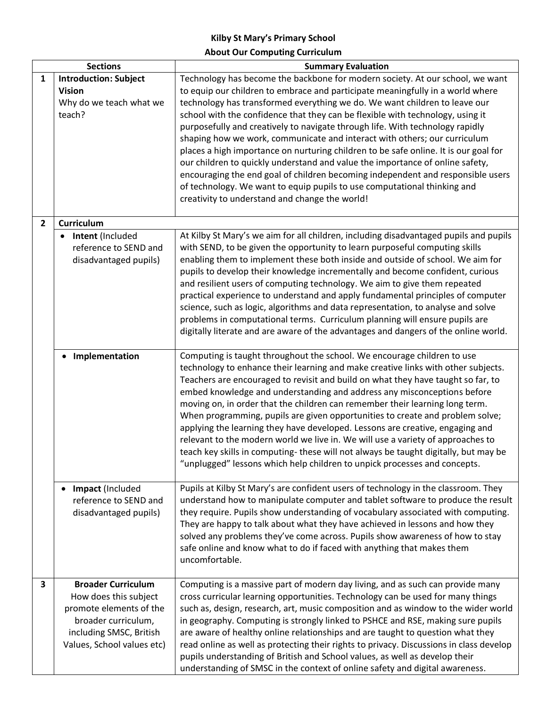## **Kilby St Mary's Primary School About Our Computing Curriculum**

| <b>Sections</b> |                                                        | <b>Summary Evaluation</b>                                                               |
|-----------------|--------------------------------------------------------|-----------------------------------------------------------------------------------------|
| 1               | <b>Introduction: Subject</b>                           | Technology has become the backbone for modern society. At our school, we want           |
|                 | <b>Vision</b>                                          | to equip our children to embrace and participate meaningfully in a world where          |
|                 | Why do we teach what we                                | technology has transformed everything we do. We want children to leave our              |
|                 | teach?                                                 | school with the confidence that they can be flexible with technology, using it          |
|                 |                                                        | purposefully and creatively to navigate through life. With technology rapidly           |
|                 |                                                        | shaping how we work, communicate and interact with others; our curriculum               |
|                 |                                                        | places a high importance on nurturing children to be safe online. It is our goal for    |
|                 |                                                        | our children to quickly understand and value the importance of online safety,           |
|                 |                                                        | encouraging the end goal of children becoming independent and responsible users         |
|                 |                                                        | of technology. We want to equip pupils to use computational thinking and                |
|                 |                                                        | creativity to understand and change the world!                                          |
|                 |                                                        |                                                                                         |
| $\mathbf{2}$    | Curriculum                                             |                                                                                         |
|                 | Intent (Included<br>$\bullet$<br>reference to SEND and | At Kilby St Mary's we aim for all children, including disadvantaged pupils and pupils   |
|                 |                                                        | with SEND, to be given the opportunity to learn purposeful computing skills             |
|                 | disadvantaged pupils)                                  | enabling them to implement these both inside and outside of school. We aim for          |
|                 |                                                        | pupils to develop their knowledge incrementally and become confident, curious           |
|                 |                                                        | and resilient users of computing technology. We aim to give them repeated               |
|                 |                                                        | practical experience to understand and apply fundamental principles of computer         |
|                 |                                                        | science, such as logic, algorithms and data representation, to analyse and solve        |
|                 |                                                        | problems in computational terms. Curriculum planning will ensure pupils are             |
|                 |                                                        | digitally literate and are aware of the advantages and dangers of the online world.     |
|                 | Implementation                                         | Computing is taught throughout the school. We encourage children to use                 |
|                 |                                                        | technology to enhance their learning and make creative links with other subjects.       |
|                 |                                                        | Teachers are encouraged to revisit and build on what they have taught so far, to        |
|                 |                                                        | embed knowledge and understanding and address any misconceptions before                 |
|                 |                                                        | moving on, in order that the children can remember their learning long term.            |
|                 |                                                        | When programming, pupils are given opportunities to create and problem solve;           |
|                 |                                                        | applying the learning they have developed. Lessons are creative, engaging and           |
|                 |                                                        | relevant to the modern world we live in. We will use a variety of approaches to         |
|                 |                                                        | teach key skills in computing-these will not always be taught digitally, but may be     |
|                 |                                                        | "unplugged" lessons which help children to unpick processes and concepts.               |
|                 |                                                        |                                                                                         |
|                 | Impact (Included<br>$\bullet$                          | Pupils at Kilby St Mary's are confident users of technology in the classroom. They      |
|                 | reference to SEND and                                  | understand how to manipulate computer and tablet software to produce the result         |
|                 | disadvantaged pupils)                                  | they require. Pupils show understanding of vocabulary associated with computing.        |
|                 |                                                        | They are happy to talk about what they have achieved in lessons and how they            |
|                 |                                                        | solved any problems they've come across. Pupils show awareness of how to stay           |
|                 |                                                        | safe online and know what to do if faced with anything that makes them                  |
|                 |                                                        | uncomfortable.                                                                          |
|                 |                                                        |                                                                                         |
| 3               | <b>Broader Curriculum</b>                              | Computing is a massive part of modern day living, and as such can provide many          |
|                 | How does this subject                                  | cross curricular learning opportunities. Technology can be used for many things         |
|                 | promote elements of the                                | such as, design, research, art, music composition and as window to the wider world      |
|                 | broader curriculum,                                    | in geography. Computing is strongly linked to PSHCE and RSE, making sure pupils         |
|                 | including SMSC, British                                | are aware of healthy online relationships and are taught to question what they          |
|                 | Values, School values etc)                             | read online as well as protecting their rights to privacy. Discussions in class develop |
|                 |                                                        | pupils understanding of British and School values, as well as develop their             |
|                 |                                                        | understanding of SMSC in the context of online safety and digital awareness.            |